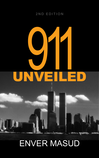### 2ND EDITION

# V H UNVEILED

# [ENVER MASUD](http://www.twf.org/bio/EMasud.html)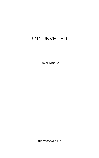# [9/11 UNVEILED](http://www.twf.org/Library/911Unveiled.html)

[Enver Masud](http://www.twf.org/bio/EMasud.html)

[THE WISDOM FUND](http://www.twf.org)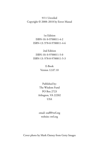9/11 Unveiled Copyright © 2008–2018 by Enver Masud

> 1st Edition ISBN-10: 0-9700011-4-2 ISBN-13: 978-0-9700011-4-6

> 2nd Edition ISBN-10: 0-9700011-5-0 ISBN-13: 978-0-9700011-5-3

> > E-Book Version 12.07.10

Published by: The Wisdom Fund PO Box 2723 Arlington, VA 22202 USA

[email: staff@twf.org](mailto:staff%40twf.org?subject=9/11%20Unveiled) [website: twf.org](http://www.twf.org)

Cover photo by Mark Oatney from Getty Images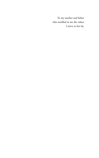To my mother and father who instilled in me the values I strive to live by.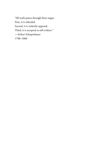"All truth passes through three stages. First, it is ridiculed. Second, it is violently opposed. Third, it is accepted as self-evident." —Arthur Schopenhauer 1788–1860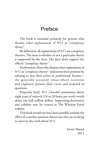# Preface

The book is intended primarily for persons who dismiss other explanations of 9/11 as "conspiracy theory".

By definition, all explanations of 9/11 are conspiracy theories. The issue is whether or not a particular theory is supported by the facts. The facts don't support the official "conspiracy theory".

Furthermore, those who dismiss other explanations of 9/11 as "conspiracy theory" undermine their position by refusing to face their critics in professional forums the generally accepted venue where scientists and engineers present their views and respond to questions.

Purposely brief, *9/11 Unveiled* summarizes about eight years of research (10 to 20 hours per week) worth about one half million dollars. Supporting documents and exhibits may be viewed at [The Wisdom Fund](http://www.twf.org)  [website.](http://www.twf.org)

This book would not have been possible without the effort of countless patriotic Americans who are working to uncover the truth about 9/11.

> [Enver Masud](http://www.twf.org/bio/EMasud.html) 2012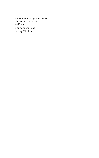Links to sources, photos, videos click on section titles and/or go to The Wisdom Fund twf.org/911.html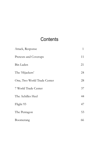# **Contents**

| Attack, Response            | $\mathbf{1}$ |
|-----------------------------|--------------|
| Pretexts and Coverups       | 11           |
| Bin Laden                   | 21           |
| The 'Hijackers'             | 24           |
| One, Two World Trade Center | 28           |
| 7 World Trade Center        | 37           |
| The Achilles Heel           | 44           |
| Flight 93                   | 47           |
| The Pentagon                | 53           |
| Boomerang                   | 66           |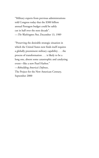"Military experts from previous administrations told Congress today that the \$300 billion annual Pentagon budget could be safely cut in half over the next decade". —*The Washington Post*, December 13, 1989

"Preserving the desirable strategic situation in which the United States now finds itself requires a globally preeminent military capability . . . the process of transformation . . . is likely to be a long one, absent some catastrophic and catalyzing event—like a new Pearl Harbor." —*Rebuilding America's Defenses*, The Project for the New American Century, September 2000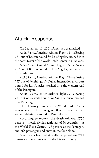# <span id="page-10-0"></span>Attack, Response

On September 11, 2001, America was attacked.

At 8:47 a.m., American Airlines Flight 11—a Boeing 767 out of Boston bound for Los Angeles, crashed into the north tower of the World Trade Center in New York.

At 9:03 a.m., United Airlines Flight 175—a Boeing 767 out of Boston bound for Los Angeles, crashed into the south tower.

At 9:38 a.m., American Airlines Flight 77—a Boeing 757 out of Washington's Dulles International Airport bound for Los Angeles, crashed into the western wall of the Pentagon.

At 10:03 a.m., United Airlines Flight 93—a Boeing 757 out of Newark bound for San Francisco, crashed near Pittsburgh.

The 110-story towers of the World Trade Center were obliterated. The Pentagon suffered massive damage. Aircraft debris was found in Pennsylvania.

According to reports, the death toll was 2750 persons—mostly civilian nationals of 90 countries—at the World Trade Center, 125 persons at the Pentagon, and 265 passengers and crew on the four planes.

Seven years later, what really happened on 9/11 remains shrouded in a veil of doubts and secrecy.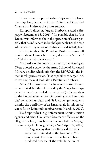Terrorists were reported to have hijacked the planes. Two days later, Secretary of State Colin Powell identified Osama Bin Laden as the prime suspect.

Europol's director, Jurgen Storbeck, stated (*Telegraph*, September 15, 2001): "It's possible that he [bin Laden] was informed about the operation; it's even possible that he influenced it; but he's probably not the man who steered every action or controlled the detailed plan."

On September 16, President Bush, brushing off doubts about Osama bin Laden, declared a "crusade" to "rid the world of evil-doers".

On the day of the attack on America, the *Washington Times* quoted a paper by the Army School of Advanced Military Studies which said that the MOSSAD, the Israeli intelligence service, "Has capability to target U.S. forces and make it look like a Palestinian/Arab act."

After 9/11, dozens of Israelis were reported to have been arrested, but the role played by this "huge Israeli spy ring that may have trailed suspected al-Qaeda members in the United States without informing federal authorities" remained unclear, and "it is no longer tenable to dismiss the possibility of an Israeli angle in this story," wrote Justin Raimondo (antiwar.com, March 8, 2002).

Field reports by Drug Enforcement Administration agents, and other U.S. law enforcement officials, on the alleged Israeli spy ring have been compiled in a 60-page document (John F. Sugg, *Weekly Planet*, April 22, 2002).

> DEA agents say that the 60-page document was a draft intended as the base for a 250 page report. The larger report has not been produced because of the volatile nature of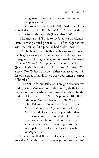suggesting that Israel spies on America's deepest secrets.

Others suggest that Israel's MOSSAD had foreknowledge of 9/11. Fox News' Carl Cameron did a 4-part series on this episode (December 2001) .

The attacks on 9/11 led to the U.S. war on Afghanistan—a war planned prior to 9/11, after negotiations with the Taliban for a pipeline had broken down.

The Taliban, after initially negotiating with Unocal, had begun showing a preference for Bridas Corporation of Argentina. During the negotiations—which ocurred prior to 9/11—"U.S. representatives told the Taliban (Jean-Charles Brisard and Guillaume Dasquie, *Bin Laden, The Forbidden Truth*), 'either you accept our offer of a carpet of gold, or we bury you under a carpet of bombs'."

Niaz Naik, a former Pakistani Foreign Secretary, was told by senior American officials in mid-July that military action against Afghanistan would go ahead by the middle of October (BBC News, September 18, 2001).

And the *Irish Times* (February 11, 2002) reported:

The Pakistani President, Gen. Pervez Musharraf, and the Afghan interim leader, Mr. Hamid Karzai, agreed yesterday that their two countries should develop "mutual brotherly relations and cooperate in all spheres of activity"— including a proposed gas pipeline from Central Asia to Pakistan via Afghanistan.

It is curious that these two leaders, who only later vowed to "bury the recent history of poisonous relations"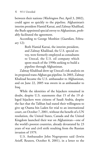between their nations (*Washington Post*, April 3, 2002), could agree so quickly to the pipeline. Afghanistan's interim president Hamid Karzai, and Zalmay Khalilzad, the Bush-appointed special envoy to Afghanistan, probably facilitated the agreement.

According to George Monbiot (*Guardian*, February 12):

> Both Hamid Karzai, the interim president, and Zalmay Khalilzad, the U.S. special envoy, were formerly employed as consultants to Unocal, the U.S. oil company which spent much of the 1990s seeking to build a pipeline through Afghanistan.

Zalmay Khalilzad drew up Unocal's risk analysis on its proposed trans-Afghan gas pipeline. In 2003, Zalmay Khalizad became the U.S. ambassador to Afghanistan, and on June 22, 2005 was sworn in as ambassador to Iraq.

While the identities of the hijackers remained in doubt, despite U.S. statements that 15 of the 19 alleged hijackers were citizens of Saudi Arabia, despite the fact that the Taliban had stated their willingness to give up Osama bin Laden for trial to an international court, on October 7, 2001, without the benefit of a UN resolution, the United States, Canada and the United Kingdom launched their war on Afghanistan—one of the world's poorest countries, already devastated by 23 years of war and civil strife resulting from the Russian invasion of 1979.

U.S. Ambassador John Negroponte said (Irwin Arieff, Reuters*,* October 8, 2001), in a letter to the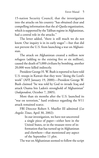15-nation Security Council, that the investigation into the attacks on his country "has obtained clear and compelling information that the al-Qaeda organization, which is supported by the Taliban regime in Afghanistan, had a central role in the attacks."

The letter added, "there is still much we do not know. Our inquiry is in its early stages"—but that did not prevent the U.S. from launching a war on Afghanistan.

The attack on Afghanistan created a million new refugees (adding to the existing five or six million), caused the death of 5,000 civilians by bombing, another 20,000 were killed indirectly.

President George H. W. Bush is reported to have told U.S. troops in Kuwait that they were "doing the Lord's work" (AFP, January 19, 2000)—President George W. Bush claimed "he was told by God to invade Iraq and attack Osama bin Laden's stronghold of Afghanistan" (*Independent*, October 7, 2005).

More than six months after the U.S. launched its "war on terrorism," hard evidence regarding the 9/11 attack remained scarce.

FBI Director Robert S. Mueller III admitted (*Los Angeles Times*, April 30, 2002):

> In our investigation, we have not uncovered a single piece of paper—either here in the United States, or in the treasure trove of information that has turned up in Afghanistan and elsewhere—that mentioned any aspect of the September 11 plot.

The war on Afghanistan seemed to follow the script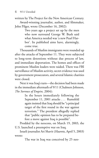written by The Project for the New American Century.

Award-winning journalist, author, and filmmaker, John Pilger, wrote (December 16, 2002):

> Two years ago a project set up by the men who now surround George W. Bush said what America needed was 'a new Pearl Harbor'. Its published aims have, alarmingly, come true.

Thousands of Muslim immigrants were rounded up after the attacks of September 11. They were subjected to long-term detentions without due process of law, and immediate deportation. The homes and offices of prominent Muslim leaders were raided. There was FBI surveillance of Muslim activity, secret evidence was used by government prosecutors, and several Islamic charities were closed.

Next it was Iraq's turn—the decision had been made in the immediate aftermath of 9/11 (Chalmers Johnson, *The Sorrows of Empire,* 2004):

> In the hours immediately following the September 11, 2001 attacks . . . Rumsfeld again insisted that Iraq should be "a principal target of the first round in the war against terrorism." The president allegedly replied that "public opinion has to be prepared before a move against Iraq is possible".

Prodded by the neocons, on March 19, 2003, the U.S. launched a preemptive war on Iraq.

Israeli journalist Ari Shavit (*Haaretz*, April 5, 2003) wrote:

The war in Iraq was conceived by 25 neo-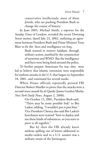conservative intellectuals, most of them Jewish, who are pushing President Bush to change the course of history.

In June 2005, Michael Smith, a reporter for the *Sunday Times* of London, revealed the secret Downing Street memo, dated July 23, 2002, outlining an agreement between President Bush and Prime Minister Tony Blair to fix the facts and intelligence on Iraq.

> Bush wanted to remove Saddam, through military action, justified by the conjunction of terrorism and WMD. But the intelligence and facts were being fixed around the policy.

To further prepare Americans for war, they were led to believe that Islamic extremists were responsible for anthrax attacks in the U.S. that began on September 18, 2001, and continued for several weeks.

White House officials repeatedly pressed FBI Director Robert Mueller to prove that the attacks were a second-wave assault by al-Qaeda (James Gordon Meeks, *New York Daily News*, August 2, 2008).

> On October 15, 2001, President Bush said, "There may be some possible link" to Bin Laden, adding, "I wouldn't put it past him." Vice President Cheney also said Bin Laden's henchmen were trained "how to deploy and use these kinds of substances, so you start to piece it all together."

> But by then the FBI already knew anthrax spilling out of letters addressed to media outlets and to a U.S. senator was a military strain of the bioweapon.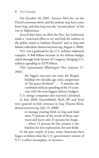On October 18, 2001, Senator McCain, on the David Letterman show, said the anthrax may have come from Iraq, and that Iraq was the "second phase" of the war in Afghanistan.

Several days later, on *Meet the Press*, Joe Lieberman made a "concerted effort to try and link the anthrax in the public mind to Saddam Hussein" and to Iraq and Islamic radicalism (democracynow.org, August 4, 2008).

9/11 was a godsend for the U.S. military-industrial complex. A \$48 billion increase in the defense budget sailed through both houses of Congress, bringing U.S. military spending to \$379 billion.

This represented (*Washington Post,* January 27, 2002)

> the biggest one-year rise since the Reagan buildup two decades ago and a suspension of "the peace dividend." . . . It matches the combined military spending of the 15 countries with the next biggest defense budgets.

U.S. energy companies also received a dividend.

In July 2008, ExxonMobil, Shell, BP and Total were granted no-bid contracts in Iraq (Naomi Klein, democracynow.org, July 15, 2008)

> to manage existing fields in Iraq and hold onto 75 percent of the worth of those contracts and leave only 25 percent for Iraqis . . . where 51 percent for the country is the baseline for new exploration, for new fields.

In the past couple of years, many Americans have begun to believe that the U.S. government's version of 9/11 is either incomplete, or incorrect.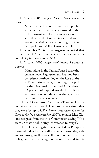In August 2006, *Scripps Howard News Service* reported:

> More than a third of the American public suspects that federal officials assisted in the 9/11 terrorist attacks or took no action to stop them so the United States could go to war in the Middle East, according to a new Scripps Howard/Ohio University poll.

In September 2006, *Time* magazine reported that 36 percent of Americans believed the government's complicity in the events of 9/11.

In October 2006, *Angus Reid Global Monitor* reported:

> Many adults in the United States believe the current federal government has not been completely forthcoming on the issue of the 9/11 terrorist attacks, according to a poll by the New York Times and CBS News. 53 per cent of respondents think the Bush administration is hiding something, and 28 per cent believe it is lying.

The 9/11 Commission's chairman Thomas H. Kean and vice-chairman Lee H. Hamilton have written that they were "setup to fail" (*Without Precedent: The Inside Story of the 9/11 Commission*, 2007). Senator Max Cleland resigned from the 9/11 Commission saying "It's a scam". Senator Bob Kerrey "threatened to resign".

The 9/11 investigation was directed by Philip Zelikow who divided the staff into nine teams: al-Qaeda and its history, intelligence collection, counter-terrorism policy, terrorist financing, border security and immi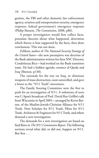gration, the FBI and other domestic law enforcement agency, aviation and transportation security, emergency response, federal government's emergency response (Philip Shenon, *The Commission*, 2008, p86).

A proper investigation would first collect facts, postulate theories about what happened, determine which theory is best supported by the facts, then draw conclusions. This was not done.

Zelikow, author of *The National Security Strategy of the United States*—the new preemptive war doctrine of the Bush administration written for then NSC Director, Condoleezza Rice—had worked on the Bush transition team. He had a hidden agenda: connect al-Qaeda and Iraq (Shenon, p130).

The rationale for the war on Iraq, to eliminate weapons of mass destruction, soon unravelled, and gave a boost to the "9/11 Truth" movement.

The Family Steering Committee were the first to push for an investigation of 9/11. A milestone of sorts was C-Span's broadcast of Prof. David Ray Griffin's talk from Wisconsin in April 2005—arranged by Kevin Barrett, of the Muslim-Jewish-Christian Alliance for 9/11 Truth. Now Scholars for 9/11 Truth, Pilots for 9/11 Truth, Architects & Engineers for 9/11 Truth, and others demand a new investigation.

The demands for a new investigation are based on fatal flaws in *The 9/11 Commission Report.* The following sections reveal what did, or did not, happen on 9/11. But first . . .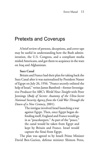## <span id="page-20-0"></span>[Pretexts and Coverups](http://www.twf.org/News/Y2001/0730-Pretexts.html)

A brief review of pretexts, deceptions, and cover-ups may be useful in understanding how the Bush administration, the U.S. Congress, and a compliant media misled Americans, and got them to acquiesce in the wars on Iraq and Afghanistan.

### **Suez Canal**

Britain and France had their plan for taking back the Suez Canal after it was nationalized by President Nasser of Egypt on July 26, 1956. "France secretly enlisted the help of Israel," writes James Bamford—former Investigative Producer for ABC's *World News Tonight* with Peter Jennings (*Body of Secrets: Anatomy of the Ultra-Secret National Security Agency from the Cold War Through the Dawn of a New Century*, 2001).

> The intrigue involved Israel launching a war against Egypt. Then, once Egypt began defending itself, England and France would go in as "peacekeepers." As part of the "peace," the canal would be taken from Egypt and kept by Britain and France. Israel would capture the Sinai from Egypt.

The plan was agreed to by Israeli Prime Minister David Ben-Gurion, defense minister Shimon Peres,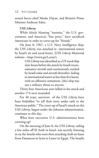armed forces chief Moshe Dayan, and Britain's Prime Minister Anthony Eden.

### **USS** *Liberty*

While falsely blaming "enemies," the U.S. government, and America's "free press," have sacrificed Americans in order to cover-up for "friends."

On June 8, 1967, a U.S. Navy intelligence ship, the USS *Liberty,* was attacked in international waters by Israel's air and naval forces. (USS *Liberty* Memorial website—http://www.gtr5.com/).

> USS *Liberty* was identified as a US naval ship nine hours before the attack by Israeli reconnaissance aircraft and continuously tracked by Israeli radar and aircraft thereafter. Sailing in international waters at less than five knots, with no offensive armament, [the] ship was not a military threat to anyone.

Thirty four Americans were killed in the attack and another 174 were wounded.

For 40 years, survivors of the USS *Liberty* have been forbidden "to tell their story under oath to the American public." The cover-up of Israel's attack on the USS *Liberty*, begun under the Johnson administration, continues to this day.

What have successive U.S. administrations been covering up?

On the morning of June 8, the USS *Liberty*, sailing a few miles off El Arish in Israel, was secretly listening in on the Israelis who were then attacking Arab air bases from Damascus in Syria to Luxor in Egypt. The Israelis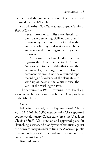had occupied the Jordanian section of Jerusalem, and captured Sharm al-Sheikh.

And while the USS *Liberty* eavesdropped (Bamford, *Body of Secrets*):

> a scant dozen or so miles away, Israeli soldiers were butchering civilians and bound prisoners by the hundreds, a fact that the entire Israeli army leadership knew about and condoned, according to the army's own historian. . . .

> At the time, Israel was loudly proclaiming—to the United States, to the United Nations, and to the world—that it was the victim of Egyptian aggression . . . Israel's commanders would not have wanted tape recordings of evidence of the slaughters to wind up on desks at the White House, the UN, or the Washington Post.

The pattern set in 1967—covering up for Israeli aggression, has been a major contributor to U.S. problems in the Middle East.

### **Cuba**

Following the failed, Bay of Pigs invasion of Cuba on April 17, 1961, by 1,300 members of a CIA-supported counterrevolutionary Cuban exile force, the U.S. Joint Chiefs of Staff (JCS) drew up and approved plans for "launching a secret and bloody war of terrorism against their own country in order to trick the American public into supporting an ill-conceived war they intended to launch against Cuba."

Bamford writes: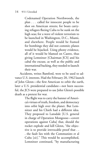Codenamed Operation Northwoods, the plan . . . called for innocent people to be shot on American streets; for boats carrying refugees fleeing Cuba to be sunk on the high seas; for a wave of violent terrorism to be launched in Washington, D.C., Miami, and elsewhere. People would be framed for bombings they did not commit; planes would be hijacked. Using phony evidence, all of it would be blamed on Castro, thus giving Lemnitzer [Chairman JCS] and his cabal the excuse, as well as the public and international backing, they needed to launch their war.

Accidents, writes Bamford, were to be used to advance U.S. interests. Had the February 20, 1962 launch of John Glenn—the first American to orbit the earth, later a U.S. presidential candidate—not been successful, the JCS were prepared to use John Glenn's possible death as a pretext for war.

> The flight was to carry the banner of America's virtues of truth, freedom, and democracy into orbit high over the planet. But Lemnitzer and his Chiefs had a different idea. They proposed to Lansdale [U.S. general in charge of Operation Mongoose—covert operations against Cuba] that, should the rocket explode and kill Glenn, "the objective is to provide irrevocable proof that . . . the fault lies with the Communists et al Cuba [*sic*]." This would be accomplished, Lemnitzer continued, "by manufacturing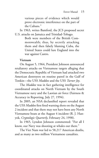various pieces of evidence which would prove electronic interference on the part of the Cubans."

In 1963, writes Bamford, the JCS proposed secret U.S. attacks on Jamaica and Trinidad-Tobago.

> Both were members of the British Commonwealth; thus, by secretly attacking them and then falsely blaming Cuba, the United States could lure England into the war against Castro.

### **Vietnam**

On August 5, 1964, President Johnson announced retaliatory attacks on Vietnamese targets alleging that the Democratic Republic of Vietnam had attacked two American destroyers on routine patrol in the Gulf of Tonkin—the USS *Maddox* and the USS *Turner Joy*.

The *Maddox* was in fact gathering intelligence for coordinated attacks on North Vietnam by the South Vietnamese navy and the Laotian air force (Fairness & Accuracy in Reporting, July 27, 1994).

In 2005, an NSA declassified report revealed that the USS *Maddox* first fired warning shots on the August 2 incident and that there may not have been any North Vietnamese boats at the August 4 incident (R. J. Hanyok, *Cryptologic Quarterly*, February 24, 1998).

In 1965, Lyndon Johnson commented: "For all I know, our Navy was shooting at whales out there."

The Viet Nam war led to 58,217 American deaths, and as many as two million Vietnamese casualties.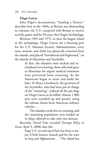### **Diego Garcia**

John Pilger's documentary, "Stealing a Nation," describes how in the 1960s, as Britain was dismantling its colonies, the U.S. conspired with Britain to receive secretly, gratis, and for 50 years, the Chagos Archipelago.

Between 1965 and 1973, to clear the largest island in the archipelago, Diego Garcia, for a listening post for the U.S. National Security Administration, every man, woman, and child was physically removed from the islands, and placed "bewildered and frightened," on the islands of Mauritius and Seychelles.

> At first, the islanders were tricked and intimidated into leaving; those who had gone to Mauritius for urgent medical treatment were prevented from returning. As the Americans began to arrive and build the base, Sir Bruce Greatbatch, the governor of the Seychelles, who had been put in charge of the "sanitizing," ordered all the pet dogs on Diego Garcia to be killed. Almost 1,000 pets were rounded up and gassed, using the exhaust fumes from American military vehicles. . . .

> The islanders took this as a warning; and the remaining population were loaded on to ships, allowed to take only one suitcase.

Recently, David Vine revealed (*Foreign Policy in Focus*, April 3, 2008) that this

> huge U.S. air and naval base has been a major, if little known, launch pad for the wars in Iraq and Afghanistan. . . .The island has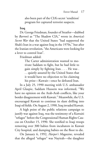also been part of the CIA's secret 'rendition' program for captured terrorist suspects.

**Iraq**

Dr. George Friedman, founder of Stratfor—dubbed by *Barron's* as "The Shadow CIA," wrote in *America's Secret War* that the United States "had supported the Shah's Iran in a war against Iraq in the 1970s," but after the Iranian revolution, "the Americans were looking for a lever to control Iran".

Friedman added:

The Carter administration wanted to motivate Saddam to fight, but he had little to gain simply by fighting Iran. . . . He was . . . quietly assured by the United States that it would have no objection to his claiming his prize—Kuwait—once he defeated Iran.

In a July 25, 1990 meeting with U.S. ambassador April Glaspie, Saddam Hussein was informed, "We have no opinion on the Arab-Arab conflicts, like your border disagreement with Kuwait." Meanwhile, the U.S. encouraged Kuwait to continue its slant drilling into Iraqi oil fields. On August 2, 1990, Iraq invaded Kuwait.

A high point of the public relations campaign to justify war against Iraq, was the testimony of a Kuwaiti "refugee" before the Congressional Human Rights Caucus on October 15, 1990. She testified to Iraqi troops removing over 300 babies from incubators in Kuwait City hospital, and dumping babies on the floor to die.

On January 6, 1992, *Harper's Magazine*, revealed that the alleged "refugee" was Nayirah—the daughter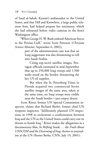of Saud al-Sabah, Kuwait's ambassador to the United States, and that Hill and Knowlton, a large public relations firm, had helped prepare her testimony, which she had rehearsed before video cameras in the firm's Washington office.

"When George H. W. Bush ordered American forces to the Persian Gulf," wrote Scott Peterson (*Christian Science Monitor*, September 6, 2002),

> part of the administration case was that an Iraqi juggernaut was also threatening to roll into Saudi Arabia.

> Citing top-secret satellite images, Pentagon officials estimated in mid-September that up to 250,000 Iraqi troops and 1,500 tanks stood on the border, threatening the key US oil supplier.

> But when the St. Petersburg Times in Florida acquired two commercial Soviet satellite images of the same area, taken at the same time, no Iraqi troops were visible near the Saudi border—just empty desert.

 Scott Ritter, former UN Special Commission inspector, claims that Richard Butler, former chief UN weapons inspector, "deliberately planned UN inspections in 1998 to orchestrate a confrontation between Iraq and the UN so the United States could carry out its threats to bomb Iraq." Ritter makes the allegations in a documentary film, *In Shifting Sands . . . the Truth About UNSCOM and the Disarming of Iraq*, shown to journalists at the UN (Ronni Berke, CNN, July 19, 2001).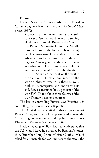**Eurasia**

Former National Security Advisor to President Carter, Zbigniew Brzezinski, wrote (*The Grand Chessboard*, 1997):

> A power that dominates Eurasia [the territory east of Germany and Poland, stretching all the way through Russia and China to the Pacific Ocean—including the Middle East and most of the Indian subcontinent] would control two of the world's three most advanced and economically productive regions. A mere glance at the map also suggests that control over Eurasia would almost automatically entail Africa's subordination,

> . . . About 75 per cent of the world's people live in Eurasia, and most of the world's physical wealth is there as well, both in its enterprises and underneath its soil. Eurasia accounts for 60 per cent of the world's GNP and about three-fourths of the world's known energy resources.

The key to controlling Eurasia, says Brzezinski, is controlling the Central Asian Republics.

The "United States is pitted in this struggle against Russia, China, and Iran, all competing to dominate the Caspian region, its resources and pipeline routes" (Lutz Kleveman, *The New Great Game*, 2004).

President George W. Bush has frequently stated that the U.S. would leave Iraq if asked by Baghdad's leadership. But when Iraqi Prime Minister Nuri al-Maliki asked for a timetable for U.S. military withdrawal, the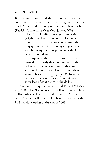Bush administration and the U.S. military leadership continued to pressure their client regime to accept the U.S. demand for long-term military bases in Iraq (Patrick Cockburn, *Independent*, June 6, 2008).

> The US is holding hostage some \$50bn (£25bn) of Iraq's money in the Federal Reserve Bank of New York to pressure the Iraqi government into signing an agreement seen by many Iraqis as prolonging the US occupation indefinitely, . . .

> Iraqi officials say that, last year, they wanted to diversify their holdings out of the dollar, as it depreciated, into other assets, such as the euro, more likely to hold their value. This was vetoed by the US Treasury because American officials feared it would show lack of confidence in the dollar.

Sources in Iraq's parliament told Press TV (May 29, 2008) that Washington had offered three-million dollar bribes to lawmakers who sign the "framework accord" which will permit U.S. bases in Iraq after the UN mandate expires at the end of 2008.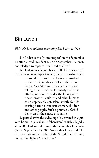# <span id="page-30-0"></span>[Bin Laden](http://www.twf.org/News/Y2006/0608-BinLaden.html)

*FBI: 'No hard evidence connecting Bin Laden to 9/11'*

Bin Laden is the "prime suspect" in the September 11 attacks, said President Bush on September 17, 2001, and pledged to capture him "dead or alive."

Bin Laden, in a September 28, 2001 interview with the Pakistani newspaper *Ummat*, is reported to have said:

> I have already said that I am not involved in the 11 September attacks in the United States. As a Muslim, I try my best to avoid telling a lie. I had no knowledge of these attacks, nor do I consider the killing of innocent women, children and other humans as an appreciable act. Islam strictly forbids causing harm to innocent women, children and other people. Such a practice is forbidden even in the course of a battle.

Experts dismiss the video tape "discovered in a private home in Jalalabad, Afghanistan" which allegedly shows Bin Laden confessing to the September 11 attacks (NPR, September 13, 2001)—another lucky find, like the passports in the rubble of the World Trade Center, and at the Flight 93 "crash site."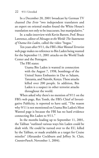In a December 20, 2001 broadcast by German TV channel *Das Erste* "two independent translators and an expert on oriental studies found the White House's translation not only to be inaccurate, but manipulative."

In a radio interview with Kevin Barrett, Prof. Bruce Lawrence, editor of *Messages to the World: The Statements of Osama bin Laden*, called the video "bogus."

Ten years after 9/11, the FBI's *Most Wanted Terrorists*  web page makes no reference to Bin Laden being wanted for the September 11, 2001 attacks on the World Trade Center and the Pentagon.

The FBI states:

Usama Bin Laden is wanted in connection with the August 7, 1998, bombings of the United States Embassies in Dar es Salaam, Tanzania, and Nairobi, Kenya. These attacks killed over 200 people. In addition, Bin Laden is a suspect in other terrorist attacks throughout the world.

When asked why there's no mention of 9/11 on the FBI's web page, Rex Tomb, the FBI's Chief of Investigative Publicity, is reported to have said, "The reason why 9/11 is not mentioned on Usama Bin Laden's Most Wanted page is because the FBI has no hard evidence connecting Bin Laden to 9/11."

In the months leading up to September 11, 2001, the Taliban "outlined various ways bin Laden could be dealt with. He could be turned over to the EU, killed by the Taliban, or made available as a target for Cruise missiles" (Alexander Cockburn and Jeffrey St. Clair, *CounterPunch*, November 1, 2004).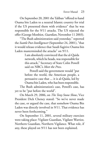On September 20, 2001 the Taliban "offered to hand Osama bin Laden to a neutral Islamic country for trial if the US presented them with evidence" that he was responsible for the 9/11 attacks. The US rejected the offer (George Monbiot, *Guardian*, November 11 2003).

"The Bush administration said yesterday," reported the *Seattle Post-Intelligencer* (September 24, 2001), "that it would release evidence that Saudi fugitive Osama bin Laden masterminded the attacks" on 9/11.

> I am absolutely convinced that the al-Qaida network, which he heads, was responsible for this attack," Secretary of State Colin Powell said on NBC's *Meet the Press*.

> Powell said the government would "put before the world, the American people, a persuasive case that ... it is al-Qaida, led by Osama bin Laden, who has been responsible.

The Bush administration's case, Powell's case, has yet to be "put before the world".

On March 29, 2006, on *The Tony Snow Show*, Vice President Dick Cheney stated: "So we've never made the case, or argued the case, that somehow Osama Bin Laden was directly involved in 9/11. That evidence has never been forthcoming."

On September 11, 2001, several military exercises were taking place: Vigilant Guardian, Vigilant Warrior, Northern Guardian, Northern Vigilance. What role, if any, these played on 9/11 has not been explained.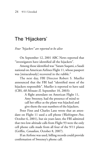# <span id="page-33-0"></span>[The 'Hijackers'](http://www.twf.org/News/Y2006/0608-BinLaden.html)

*Four "hijackers" are reported to be alive*

On September 12, 2001 ABC News reported that "investigators have identified all the hijackers".

Among those identified was "Satam Suqami, a Saudi national on American Airlines Flight 11, whose passport was [miraculously] recovered in the rubble."

The next day, FBI Director Robert S. Mueller announced that the FBI had "identified most of the hijackers responsible". Mueller is reported to have said (CBS, *60 Minutes II,* September 10, 2003):

> A flight attendant on American Flight 11, Amy Sweeney, had the presence of mind to call her office as the plane was hijacked and give them the seat numbers of the hijackers.

Peter Finn and Charles Lane wrote that an attendant on Flight 11 used a cell phone (*Washington Post*, October 6, 2001), but six years later, the FBI admitted that two low-altitude calls from Flight 93 were the only cell phone calls made from all four of the 9/11 planes (Griffin, *Canadian*, October 8, 2007).

If an Airfone was used, billing records could provide confirmation of Sweeney's phone call.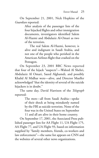On September 21, 2001, Nick Hopkins of the *Guardian* reported:

> After analysis of the passenger lists of the four hijacked flights and other immigration documents, investigators identified Salem Al-Hazmi and Abdulaziz Al-Omari as two of the terrorists.

> The real Salem Al-Hazmi, however, is alive and indignant in Saudi Arabia, and not one of the people who perished in the American Airlines flight that crashed on the Pentagon.

On September 23, 2001 BBC News reported that four of the hijack "suspects"—Waleed Al Shehri, Abdulaziz Al Omari, Saeed Alghamdi, and possibly Khalid Al Midhar were—alive, and Director Mueller acknowledged "that the identity of several of the suicide hijackers is in doubt."

The same day, David Harrison of the *Telegraph*  reported:

> The men—all from Saudi Arabia—spoke of their shock at being mistakenly named by the FBI as suicide terrorists. None of the four was in the United States on September 11 and all are alive in their home country.

On September 17, 2001, the Associated Press published passenger lists for AA Flight 11, UA Flight 175, AA Flight 77, and UA Flight 93, based on information supplied by "family members, friends, co-workers and law enforcement"—the same list appears on CNN and the websites of several other news organizations.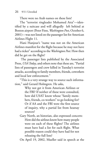There were no Arab names on these lists!

The "terrorist ringleader Mohamed Atta"—identified by a suitcase and will allegedly left behind at Boston airport (Peter Finn, *Washington Post*, October 6, 2001)—was not listed on the passenger list for American Airlines Flight 11.

Hani Hanjour's "name was not on the American Airlines manifest for the flight because he may not have had a ticket" according to the *Washington Post*. How then did he get on the flight?

 The passenger lists published by the Associated Press, *USA Today*, and others note that these are, "Partial lists of passengers and crew killed in Tuesday's terrorist attacks, according to family members, friends, coworkers and local law enforcement."

"This is a very strange way to source such information," said Gerard Holmgren. He asks,

> Why not get it from American Airlines or the FBI? If neither of these were consulted, how did USAT know whose "family members, friends, co-workers" to go looking for? Or if AA and the FBI were the first source of inquiry, why a partial list from hearsay sources?

Gary North, an historian, also expressed concern: How did the airlines know how many people were on each of these flights? The airlines must have had a list for each flight. What possible reason could they have had for not releasing the full lists?

On April 19, 2002, Mueller said in speech at the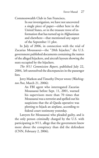Commonwealth Club in San Francisco,

In our investigation, we have not uncovered a single piece of paper—either here in the United States, or in the treasure trove of information that has turned up in Afghanistan and elsewhere—that mentioned any aspect of the September 11 plot.

In July of 2006, in connection with the trial of Zacarias Moussaoui—the "20th hijacker," the U.S. government published documents containing the names of the alleged hijackers, and aircraft layouts showing the seats occupied by the hijackers.

*The 9/11 Commission Report*, published July 22, 2004, left unresolved the discrepancies in the passenger lists.

Jerry Markon and Timothy Dwyer wrote (*Washington Post*, March 21, 2006):

> An FBI agent who interrogated Zacarias Moussaoui before Sept. 11, 2001, warned his supervisors more than 70 times that Moussaoui was a terrorist and spelled out his suspicions that the al-Qaeda operative was plotting to hijack an airplane, according to federal court testimony yesterday.

Lawyers for Moussaoui who pleaded guilty, and is the only person criminally charged by the U.S. with participating in 9/11, allege that the government knew more about the conspiracy than did the defendant (CNN, February 2, 2006).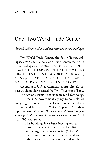## [One, Two World Trade Center](http://www.twf.org/News/Y2007/0201-NIST.html)

*Aircraft collision and fire did not cause the towers to collapse*

Two World Trade Center, the South Tower, collapsed at 9:59 a.m. One World Trade Center, the North Tower, collapsed at 10:28 a.m. At 10:03 a.m., CNN reported: "THIRD EXPLOSION SHATTERS WORLD TRADE CENTER IN NEW YORK". At 10:06 a.m., CNN reported: "THIRD EXPLOSION COLLAPSES WORLD TRADE CENTER IN NEW YORK".

According to U.S. government reports, aircraft impact would not have caused the Twin Towers to collapse.

The National Institute of Standards and Technology (NIST), the U.S. government agency responsible for analyzing the collapse of the Twin Towers, included a memo dated February 3, 1964 in Appendix A of their report *Baseline Structural Performance and Aircraft Impact Damage Analysis of the World Trade Center Towers* (April 26, 2006) that states:

> The buildings have been investigated and found to be safe in an assumed collision with a large jet airliner (Boeing 707 - DC 8) traveling at 600 miles per hour. Analysis indicates that such collision would result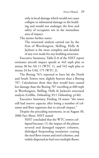only in local damage which would not cause collapse or substantial damage to the building and would not endanger the lives and safety of occupants not in the immediate area of impact.

The memo further states:

The structural analysis carried out by the firm of Worthington, Skilling, Helle & Jackson is the most complete and detailed of any ever made for any building structure.

Executive Summary, Table E-8 of the NIST report estimates aircraft impact speeds at 443 mph plus or minus 30 for AA 11 (WTC 1), and 542 mph plus or minus 24 for UAL 175 (WTC 2).

The Boeing 767s reported to have hit the North and South Towers were slightly heavier than a Boeing 707. Calculations show that they would have caused less damage than the Boeing 707 travelling at 600 mph in Worthington, Skilling, Helle & Jackson's structural analysis (Griffin, *Debunking 9/11 Debunking*, p146) .

Executive Summary, Finding 18 states: "the tower still had reserve capacity after losing a number of columns and floor segments due to aircraft impact."

Despite the preceding statements, in an August 30, 2006 Fact Sheet, NIST stated:

> NIST concluded that the WTC towers collapsed because: (1) the impact of the planes severed and damaged support columns, dislodged fireproofing insulation coating the steel floor trusses and steel columns, and widely dispersed jet fuel over multiple floors;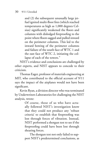and (2) the subsequent unusually large jetfuel ignited multi-floor fires (which reached temperatures as high as 1,000 degrees Celsius) significantly weakened the floors and columns with dislodged fireproofing to the point where floors sagged and pulled inward on the perimeter columns. This led to the inward bowing of the perimeter columns and failure of the south face of WTC 1 and the east face of WTC 2, initiating the collapse of each of the towers."

NIST's evidence and conclusions are challenged by other experts, and NIST appears to concede to their criticism.

Thomas Eager, professor of materials engineering at MIT, who contributed to the official account of 9/11 says the impact of the airplanes would not have been significant.

Kevin Ryan, a division director who was terminated by Underwriters Laboratories for challenging the NIST analysis, wrote:

> Of course, those of us who have actually followed NIST's investigation know that they could not produce any 'robust criteria' to establish that fireproofing was lost through forces of vibration. Instead, NIST performed a shotgun test to see if the fireproofing could have been lost through shearing forces.

> The shotgun test not only failed to support NIST's predetermined conclusions, as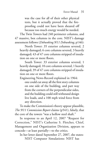was the case for all of their other physical tests, but it actually proved that the fireproofing could not have been sheared off because too much energy would be needed.

The Twin Towers had 240 perimeter columns, and 47 massive, box columns in the core. NIST's damage assessment follows (*Debunking 9/11 Debunking*, p146):

North Tower: 35 exterior columns severed, 2 heavily damaged; 6 core columns severed, 3 heavily damaged; 43 of 47 core columns stripped of insulation on one or more floors.

South Tower: 33 exterior columns severed, 1 heavily damaged; 10 core columns severed, 1 heavily damaged; 39 of 47 core columns stripped of insulation on one or more floors.

Engineering News-Record explained in 1964: one could cut away all the first story columns on one side of the building, and part way from the corners of the perpendicular sides, and the building could still withstand design live loads, and a 100 mph wind force from any direction.

To make the Commission's theory appear plausible, *The 9/11 Commission Report* claims (p541), falsely, that the core of the towers "was a hollow steel shaft."

In response to an April 12, 2007 "Request for Correction," NIST's Catherine S. Fletcher, Chief, Management and Organization Division, appears to concede—at least partially—to the critics.

In her letter dated September 27, 2007, she states: NIST Computer Simulations: NIST has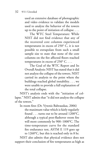used an extensive database of photographic and video evidence to validate the models used to analyze the behavior of the towers up to the point of initiation of collapse. . . .

The WTC Steel Temperature: While NIST did not find evidence that any of the recovered core columns experienced temperatures in excess of 250° C, it is not possible to extrapolate from such a small sample size to state that none of the core columns on the fire affected floors reached temperatures in excess of 250° C. . . .

The Goal of the WTC Report and Its Overall Analysis: NIST has stated that it did not analyze the collapse of the towers. NIST carried its analysis to the point where the buildings reached global instability. . . . we were unable to provide a full explanation of the total collapse.

NIST's analysis ends with the "initiation of collapse." NIST admits that "it did not analyze the collapse of the towers."

In room fires (Dr. Vytenis Babrauskas, 2006) the maximum value which is fairly regularly found . . . turns out to be around 1200°C, although a typical post-flashover room fire will more commonly be 900~1000°C. The time-temperature curve for the standard fire endurance test, ASTM E 119 goes up to 1260°C, but this is reached only in 8 hr.

NIST also admits that physical evidence does not support their conclusion of fire temperatures as high as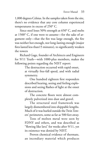1,000 degrees Celsius. In the samples taken from the site, there's no evidence that any core column experienced temperatures in excess of 250° C.

Since steel loses 50% strength at 650° C, and melts at 1500° C, if one were to assume—for the sake of argument only—that the fire was large enough, the fire was neither hot enough, nor long-lasting enough (major fires lasted less than15 minutes), to significantly weaken the towers

Richard Gage, founder of Architects and Engineers for 9/11 Truth—with 1000-plus members, makes the following points regarding the NIST report:

> The destruction occurred with rapid onset, at virtually free-fall speed, and with radial symmetry.

> One hundred eighteen first responders described hearing, seeing and feeling explosions and seeing flashes of light at the onset of destruction.

> The concrete floors were almost completely pulverized into dust and gravel.

> The structural steel framework was largely dismembered into shippable lengths. Much of it was hurled outside the Twin Towers' perimeters, some as far as 500 feet away.

> Tons of molten metal were seen by FDNY and others, and was described as "flowing like lava" for weeks after 9/11, yet its existence was denied by NIST.

> Proven chemical evidence of thermate, an incendiary material which produces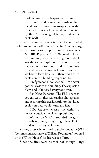molten iron as its by-product, found on the columns and beams, previously molten metal, and iron-rich micro-spheres in the dust by Dr. Steven Jones (and corroborated by the U.S. Geological Survey, but never explained).

"These features are characteristic of controlled demolitions, and not office or jet fuel fires", writes Gage.

And explosions were reported on television news. MSNBC Reporter: At 10:30 I tried to leave the building, but as soon as I got outside, I saw the second explosion, an another rumble, and more dust. I ran inside the building . . . and then a fire marshall came in and said we had to leave because if there was a third explosion this building might not last.

Firefighter on CBS Channel 2: We never got that close to the building. The explosion blew, and it knocked everybody over.

Fox News Reporter: The FBI is here as you can see . . . they were taking photographs and securing this area just prior to that huge explosion that we all heard and felt.

NBC Reporter: Most of the victims so far were outside the blownup building.

Witness on NBC: It sounded like gunfire—bang, bang, bang, bang. Then all of a sudden three big explosions.

Among those who testified to explosions at the 9/11 Commission hearings was William Rodriguez, "honored by the White House" for his rescue efforts.

Since the fires were neither hot enough, large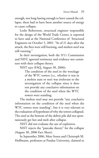enough, nor long-lasting enough to have caused the collapse, there had to have been another source of energy to cause collapse.

Leslie Robertson, structural engineer responsible for the design of the World Trade Center, is reported to have said at the National Conference of Structural Engineers on October 5, 2001: "As of 21 days after the attack, the fires were still burning, and molten steel was still running."

In their investigation, both the 9/11 Commission and NIST, ignored testimony and evidence not consistent with their collapse theory.

NIST says (FAQ, August 30, 2006):

The condition of the steel in the wreckage of the WTC towers (i.e., whether it was in a molten state or not) was irrelevant to the investigation of the collapse since it does not provide any conclusive information on the condition of the steel when the WTC towers were standing.

The molten steel may not provide "any conclusive information on the condition of the steel when the WTC towers were standing", but it is very relevant to the evaluation of hypotheses of why the towers collapsed. The steel at the bottom of the debris pile did not spontaneously get hot and melt after collapse.

NIST did not evaluate the use of explosives.

NIST rejects the "pancake theory" for the collapse (August 30, 2006 Fact Sheet).

In September 2006, Mete Sozen and Christoph M. Hoffmann, professors at Purdue University, claimed to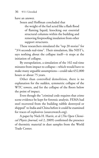have an answer.

Sozen and Hoffman concluded that

the weight of the fuel acted like a flash flood of flaming liquid, knocking out essential structural columns within the building and removing fireproofing insulation from other support structures.

These researchers simulated the "top 20 stories" for "3/4 seconds real-time". Their simulation, like NIST's, says nothing about the collapse itself—it stops at the initiation of collapse.

By extrapolation, a simulation of the 102 real-time minutes from impact to collapse—which would have to make many arguable assumptions—could take 652,800 hours or about 75 years.

Other than controlled demolition, there is no explanation for the sudden, symmetric collapse of the WTC towers, and for the collapse of the floors below the point of impact.

Even though the "criminal code requires that crime scene evidence be kept for forensic analysis. FEMA had steel recovered from the building rubble destroyed or shipped" to India and China before it could be examined for traces of explosives (sourcewatch.org).

A paper by Niels H. Harrit, et al (*The Open Chemical Physics Journal*, vol 2, 2009) confirmed the presence of thermitic material in dust samples from the World Trade Center.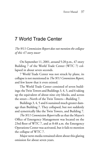# [7 World Trade Center](http://www.twf.org/News/Y2006/0417-WTC7.html)

*The 9/11 Commission Report does not mention the collapse of this 47-story tower*

On September 11, 2001, around 5:20 p.m., 47-story Building 7 of the World Trade Center (WTC 7) collapsed in about seven seconds.

7 World Trade Center was not struck by plane, its collapse is not mentioned in *The 9/11 Commision Report*, and few know that it even existed.

The World Trade Center consisted of seven buildings: the Twin Towers and Buildings 3, 4, 5, and 6 taking up the equivalent of about nine city blocks, and across the street—North of the Twin Towers—Building 7.

Buildings 3, 4, 5 and 6 sustained much greater damage than Building 7. They collapsed, but not suddenly and symetrically like the Twin Towers, and Building 7.

*The 9/11 Commission Report* tells us that the Mayor's Office of Emergency Management was located on the 23rd floor of WTC 7, and at 8:48 a.m. the Emergency Operations Center was activated, but it fails to mention the collapse of WTC 7.

Major news media remained silent about this glaring omission for about seven years.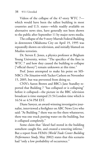Videos of the collapse of the 47-story WTC 7 which would have been the tallest building in most countries and U.S. states—while readily available on alternative news sites, have generally not been shown to the public after September 11 by major news media.

The collapse of the 9-story Murrah Federal Building in downtown Oklahoma City on April 19, 1995 was repeatedly shown on television, and initially blamed on Muslim terrorists.

Dr. Steven E. Jones, a physics professor at Brigham Young University, writes: "The specifics of the fires in WTC 7 and how they caused the building to collapse ["official theory"] remain unknown at this time."

Prof. Jones attempted to make his point on MS-NBC's *The Situation* with Tucker Carlson on November 15, 2005, but was prevented from doing so.

CNN's Aaron Brown and BBC's Jane Standley reported that Building 7 "has collapsed or is collapsing" before it collapsed—the picture in the BBC television broadcast is time stamped 21:54 London time which is 16:54 or 4:54 PM EST.

Diane Sawyer, an award-winning investigative journalist, interviewed a firefighter on ABC News Live who said: "At Building 7 there was no fire there whatsoever, there was one truck putting water on the building, but it collapsed completely."

Some claim that "diesel fuel stored in the building somehow caught fire, and created a towering inferno." But a report from FEMA (*World Trade Center Building Performance Study*, May 2002) states that this scenario had "only a low probability of occurrence."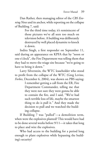Dan Rather, then managing editor of the *CBS Evening News* and its anchor, while reporting on the collapse of Building 7, said:

> For the third time today, it's reminiscent of those pictures we've all seen too much on television before. A building was deliberately destroyed by well placed dynamite to knock it down.

Indira Singh, a first responder on September 11, said during an appearance on KPFA that by "noon or one o'clock", the Fire Department was telling them that they had to move the triage site because "we're going to have to bring it down."

Larry Silverstein, the WTC leaseholder who stood to profit from the collapse of the WTC (Greg Levine, *Forbes*, December 6, 2004), was shown on PBS saying:

> I remember getting a call from the ER, Fire Department Commander, telling me that they were not sure they were gonna be able to contain the fire, and I said, "We've had such terrible loss of life, maybe the smartest thing to do is pull it." And they made the decision to pull and we watched the building collapse.

If Building 7 was "pulled"—a demolition term, when were the explosives planted? This would have had to be done several weeks before 9/11—it takes that long to place and wire the explosives.

Who had access to the building for a period long enough to plant explosives while bypassing the building's security?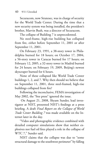Securacom, now Stratesec, was in charge of security for the World Trade Center. During the time that a new security system was being installed, the president's brother, Marvin Bush, was a director of Securacom.

The collapse of Building 7 is unprecedented.

No steel-frame, high-rise building has collapsed from fire, either before September 11, 2001 or after September 11, 2001.

On February 23, 1991, a 38-story tower in Philadelphia burned for 18 hours; on October 17, 2004, a 56-story tower in Caracas burned for 17 hours; on February 12, 2005, a 32-story tower in Madrid burned for 24 hours; on February 19, 2009, Beijing's newest skyscraper burned for 6 hours.

None of these collapsed like World Trade Center buildings 1, 2, and 7. Why then should we believe that on September 11, 2001, three steel-framed, high-rise buildings collapsed from fire?

Following the inconclusive, FEMA investigation of May 2002, the "free press" ignored the issue.

 On August 21, 2008, Shyam Sunder, lead investigator at NIST, presented NIST's findings at a press briefing. A draft *Final Report on the Collapse of World Trade Center Building 7* was made available on the Internet later in the day.

"Video and photographic evidence combined with detailed computer simulations show that neither explosives nor fuel oil fires played a role in the collapse of WTC 7," Sunder said.

NIST claims that the collapse was due to "some structural damage to the southwest perimeter" by falling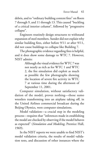debris, and to "ordinary building content fires" on floors 7 through 9, and 11 through 13. This caused "buckling of a critical interior column", followed by "progressive collapse".

Engineers routinely design structures to withstand expansion of steel members. Sunder did not explain why similar building fires, either before 9/11 or after 9/11, did not cause buildings to collapse like Building 7.

The photographic evidence regarding fires is helpful, and it does show some damage to WTC 7. However, NIST admits:

> Although the visual evidence for WTC 7 was not nearly as rich as for WTC 1 and WTC 2, the fire simulation did exploit as much as possible the few photographs showing the location of severe fire activity in WTC 7 at various time during the afternoon of September 11, 2001.

Computer simulation, without satisfactory validation of the model, proves nothing—those sumo wrestlers transforming into an airplane taking off, in the United Airlines commercial broadcast during the Beijing Olymics, were computer simulations.

Model validation—a crucial step in the modeling process—requires that "inferences made in establishing the model are checked by observing if the model behaves as expected" (*Simulation and Modeling*, Prentice Hall, 1969).

In the NIST reports we were unable to find NIST's model validation criteria, the results of model validation tests, and discussion of other instances where the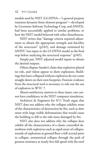models used by NIST (LS-DYNA—"a general purpose transient dynamic finite element program"—developed by Livermore Software Technology Corp, and ANSYS), had been successfully applied to similar problems, or how the NIST model behaved with other disturbances.

NIST writes that "damage criteria required adjustment to obtain the appropriate strength and ductility of the structures" (p542), and damage estimated by ANSYS "was input to the LS-DYNA model as the final step before analyzing the structural response" (p565).

Simply put, NIST adjusted model inputs to obtain the desired outputs.

Others dispute Sunder's claim that explosives played no role, and videos appear to show explosions. Buildings that have collapsed without explosives do not come straight down on their own footprint. Forensic evidence from the structural steel is necessary to rule out the use of explosives in WTC 7.

Absent satisfactory answers to these issues, one cannot have confidence in the NIST computer simulation.

Architects & Engineers for 9/11 Truth argue that NIST does not address why the collapse exhibits none of the characteristics of destruction by fire, such as slow onset with large visible deformations that would cause the building to fall to the side most damaged by fire.

NIST also does not address why the collapse does exhibit all the characteristics of a classic controlled demolition with explosives such as rapid onset of collapse, sounds of explosions at ground floor a full second prior to collapse, symmetrical collapse through the path of greatest resistance at nearly free-fall speed with the steel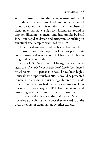skeleton broken up for shipment, massive volume of expanding pyroclastic dust clouds, tons of molten metal found by Controlled Demolition, Inc., the chemical signature of thermate (a high tech incendiary) found in slag, solidified molten metal, and dust samples by Prof. Jones, and rapid oxidation and intergranular melting on structural steel samples examined by FEMA.

Indeed, videos show windows being blown out from the bottom toward the top of WTC7 just prior to its collapse—see video at twf.org/911.html at the beginning, and at 33 seconds.

At the U.S. Department of Energy, where I managed the *U.S. National Power Grid Study* (conducted by 26 teams—150 persons), it would have been highly unusual that a report such as NIST's would be presented to news media without it first being subjected to outside peer review. In fact we had critics review progress of our research at critical stages. NIST has sought to avoid answering its critics. This negates their position.

 Except for the photos in the draft report, NIST did not release the photos and videos they referred to at the press briefing for examination by other experts.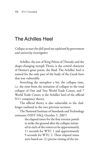## [The Achilles Heel](http://www.twf.org/News/Y2007/1017-Achilles.html)

*Collapse at near free fall speed not explained by government and university investigators*

Achilles, the son of King Peleus of Thessaly and the shape-changing nymph Thetis, is the central character of Homer's great poem, the Iliad. The Achilles' heel is named for the only part of the body of the Greek hero that was vulnerable.

Stretching the metaphor a bit, the collapse time, i.e. the time from the initiation of collapse to the total collapse of One and Two World Trade Center, and 7 World Trade Center, is the Achilles' heel of the official 9/11 conspiracy theory.

The official theory is also vulnerable to the challenges outlined in the two previous sections.

The National Institute of Standards and Technology estimates (NIST FAQ, October 5, 2007)

> the elapsed times for the first exterior panels to strike the ground after the collapse initiated in each of the towers to be approximately 11 seconds for WTC 1 and approximately 9 seconds for WTC 2. These elapsed times were based on: (1) precise timing of the ini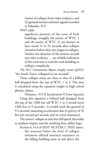tiation of collapse from video evidence, and (2) ground motion (seismic) signals recorded at Palisades, N.Y.

NIST adds:

significant portions of the cores of both buildings (roughly 60 stories of WTC 1 and 40 stories of WTC 2) are known to have stood 15 to 25 seconds after collapse initiation before they, too, began to collapse. Neither the duration of the seismic records nor video evidence . . . are reliable indicators of the total time it took for each building to collapse completely.

*The 9/11 Commission Report* simply states (p322): "the South Tower collapsed in ten seconds".

These collapse times are close to that of a billiard ball dropped from the top of WTC 1 or 2. The time is calculated using the equation taught in high school physics classes:

Distance = 0.5 X Acceleration X Time Squared. Using this equation a billiard ball dropped from the top of the 1368 feet tall WTC 1 or 2 would travel 1296 feet in 9 seconds—it would reach the ground in 9.2 seconds (assuming acceleration due to gravity of 32 feet per second per second, and no wind resistance).

The towers' collapse at near free-fall speed, due solely to airplane impact and the resulting fires, defies logic.

Section 6.14.4 of NIST NCSTAR 1, NIST states: the structure below the level of collapse initiation offered minimal resistance to the falling building mass at and above the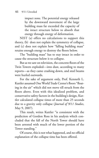impact zone. The potential energy released by the downward movement of the large building mass far exceeded the capacity of the intact structure below to absorb that energy through energy of deformation.

NIST (a) offers no calculations to support this theory, (b) does not explain the symmetry of collapse, and (c) does not explain how "falling building mass" retains enough energy to destroy the floors below.

The "building mass" has to stay intact in order to cause the structure below it to collapse.

But as we saw on television, the concrete floors of the Twin Towers exploded—into dust, according to many reports—as they came crashing down, and steel beams were hurled outwards.

For the sake of argument only, Prof. Kenneth L. Kuttler assumed One World Trade Center's floors "floating in the air" which did not move till struck from the floors above. Even with this idealized problem, and conservative safety factors in the building's design, Kuttler calculated collapse times of more than 25 seconds due to a gravity only collapse (*Journal of 9/11 Studies*, May 9, 2007).

This result, writes Kuttler "is consistent with the prediction of Gordon Ross in his analysis which concluded that the fall of the North Tower should have been arrested with much of the lower portion of the Tower standing."

Of course, this is not what happened, and no official explanation of the collapse time has been offered.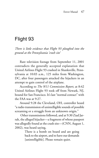# [Flight 93](http://www.twf.org/News/Y2007/0507-United93.html)

*There is little evidence that Flight 93 ploughed into the ground at the Pennsylvania 'crash site'*

Rare television footage from September 11, 2001 contradicts the generally accepted explanation that United Airlines Flight 93 crashed in Shanksville, Pennsylvania at 10:03 a.m., 125 miles from Washington, DC, after four passengers attacked the hijackers in an attempt to gain control of the airplane.

According to *The 9/11 Commission Report*, at 8:42 United Airlines Flight 93 took off from Newark, NJ, bound for San Francisco. It's last "normal contact" with the FAA was at 9:27.

Around 9:28 the Cleveland, OH, controller heard "a radio transmission of unintelligible sounds of possible screaming or a struggle from an unknown origin."

 Other transmissions followed, and at 9:30 Ziad Jarrah, the alleged hijacker—a fragment of whose passport was allegedly found at the crash site—(CNN, August 1, 2002), was heard saying,

> There is a bomb on board and are going back to the airport, and to have our demands [unintelligible]. Please remain quiet.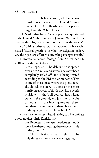The FBI believes Jarrah, a Lebanese national, was at the controls of United Airlines Flight 93, . . . U.S. officials believe the plane's target was the White House.

CNN adds that Jarrah "was stopped and questioned in the United Arab Emirates in January 2001 at the request of the CIA, nearly nine months before the attacks".

At 10:01 another aircraft is reported to have witnessed "radical gyrations in what investigators believe was the hijackers' effort to defeat the passenger assault."

However, television footage from September 11, 2001 tells a different story.

> NBC Reporter: "The debris here is spread over a 3 to 4 mile radius which has now been completely sealed off, and is being treated according to the FBI as a crime scene. This is one of those cases where the pictures really do tell the story . . . one of the most horrifying aspects of this is how little debris is visible . . . that's all you see, just a large crater in the ground, and just tiny, tiny bits of debris . . . the investigators out there, and there are hundreds of them, have found nothing larger than a phone book."

A Fox News reporter is heard talking to a Fox affiliate photographer Chris Kanicki [*sic*].

> Fox Reporter: "I've seen the pictures, and it looks like there's nothing there except a hole in the ground."

> Chris : "Basically that is right . . . The only thing you could see was a big gouge in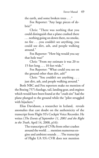the earth, and some broken trees . . ."

Fox Reporter: "Any large pieces of debris?"

Chris: "There was nothing that you could distinguish that a plane crashed there . . . nothing going on down there, no smoke, no fire . . .you couldn't see anything, you could see dirt, ash, and people walking around."

Fox Reporter: "How big would you say that hole was?"

Chris: "From my estimate it was 20 to 15 feet long . . . 10 feet wide."

Fox Reporter: "What could you see on the ground other than dirt, ash?"

Chris: "You couldn't see anything . . . just dirt, ash, and people walking around."

Both NBC and Fox reporters make no mention of the Boeing 757's fuselage, tail, landing gear, and engines which would have been found at the "crash site" had the plane plunged to the ground while the "pilot struggled with hijackers."

Elias Davidsson, a researcher in Iceland, reveals anomalies that cast doubt on the authenticity of the transcript from Flight 93's Cockpit Voice Recorder. He writes (*The Events of September 11, 2001 and the Right to the Truth*, April 14, 2008, p16):

> The transcripts of CVRs from other crashes around the world . . . mention numerous engine and ambient sounds . . . The transcript of Flight UA 93's CVR does not mention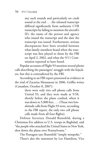any such sounds and particularly no crash sound at the end . . . the released transcript differed significantly from authentic CVR transcripts by failing to mention the aircraft's ID, the name of the person and agency who issued the transcript and the date the transcript was issued. Furthermore, serious discrepancies have been revealed between what family members heard when the transcript was first played to them by the FBI on April 2, 2002, and what the 9/11 Commission reported to have heard.

Popular accounts of Flight 93 mention several phone calls describing the passengers' struggle with the hijackers, but this is contradicted by the FBI.

According to an FBI report presented as evidence in the trial of Zacarias Moussaoui in 2006, Griffin writes (*Canadian*, October 8, 2007):

> there were only two cell phone calls from United 93, and they were made at 9:58, shortly before the plane crashed, when it was down to 5,000 feet. . . . (These two lowaltitude calls from Flight 93 were, according to the FBI report, the only two cell phone calls made from all four flights).

Defense Secretary Donald Rumsfeld, during a Christmas Eve address to U.S. troops in Baghdad, said "the people who attacked the United States in New York, shot down the plane over Pennsylvania."

The Pentagon says Rumsfeld "simply misspoke." There's also the statement by Lee Hamilton, Vice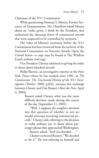Chairman of the 9/11 Commission.

While questioning Norman Y. Mineta, Former Secretary of Transportation, Mr. Hamilton asked Mineta about an "order given, I think by the President, that authorized the shooting down of commercial aircraft that were suspected to be controlled by terrorists."

The video of Mineta's testimony before the 9/11 Commission has been removed from the archives of the National Commission on Terrorist Attacks Upon the United States—a copy may be found at The Wisdom Fund's website (twf.org).

Vice President Cheney admitted to giving the order to shoot down hijacked aircraft.

Philip Shenon, an investigative reporter at the New York Times where he has worked since 1981, in *The Commission: The Uncensored History of the 9/11 Investigation* (Twelve, 2008, p264), narrates this exchange between Cheney and Tim Russert (*Meet the Press*, April 4, 2004):

> Russert asked Cheney what was the most difficult decision made during the course of the day [September 11, 2001].

> "Well, I suppose the toughest decision was this question of whether or not we would intercept incoming commercial aircraft," Cheney said, referring to the decision to order military jets to shoot down passenger planes that approached Washington.

Russert asked: "And you decided . . ."

Cheney corrected Russert. "We decided to do it." He was referring to himself and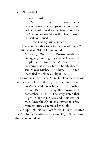President Bush.

"So if the United States government became aware that a hijacked commercial airliner was destined for the White House or the Capitol, we would take the plane down?" Russert continued.

"Yes," Cheney said somberly. There is yet another twist to the saga of Flight 93. ABC affiliate WCPO in reported:

A Boeing 767 out of Boston made an emergency landing Tuesday at Cleveland Hopkins International Airport due to concerns that it may have a bomb aboard, said Mayor Michael R. White. . . . United identified the plane as Flight 93.

However, in February 2006, Liz Foreman, whose name was attached to the original story, stated that an Associated Press bulletin, was posted on WCPO.com during the morning of September 11, 2001. The story stated that Flight 93 landed in Cleveland. This was not true. Once the AP issued a retraction a few minutes later, we removed the link.

On April 28, 2009, Pilots for 9/11 Truth reported that Air Traffic Control radar shows Flight 93 airborne after its reported crash.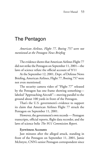### [The Pentagon](http://www.twf.org/News/Y2010/0911-Pentagon.html)

*American Airlines, Flight 77, Boeing 757 were not mentioned at the Pentagon News Briefing*

The evidence shows that American Airlines Flight 77 did not strike the Pentagon on September 11, 2001—the laws of science refute the official account of 9/11

At the September 12, 2001, Dept. of Defense News Briefing, American Airlines, Flight 77, Boeing 757 were not even mentioned.

The security camera video of "Flight 77" released by the Pentagon has one frame showing something labeled "Approaching Aircraft"—moving parallel to the ground about 100 yards in front of the Pentagon.

That's the U.S. government's evidence to support its claim that American Airlines Flight 77 struck the Pentagon on September 11, 2001.

However, the government's own records — Pentagon transcripts, official reports, flight data recorder, and the laws of science belie *The 9/11 Commission Report*.

#### **Eyewitness Accounts**

Just minutes after the alleged attack, standing in front of the Pentagon on September 11, 2001, Jamie McIntyre, CNN's senior Pentagon correspondent since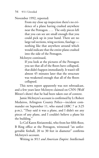November 1992, reported:

From my close up inspection there's no evidence of a plane having crashed anywhere near the Pentagon. . . . The only pieces left that you can see are small enough that you could pick up in your hand. There are no large tail sections, wing sections, fuselage nothing like that anywhere around which would indicate that the entire plane crashed into the side of the Pentagon.

McIntyre continued,

If you look at the pictures of the Pentagon you see that all of the floors have collapsed, that didn't happen immediately. It wasn't till almost 45 minutes later that the structure was weakened enough that all of the floors collapsed.

This news report apparently was not rebroadcast, and a few years later McIntyre claimed on CNN (Wolf Blitzer's show) that he had been taken out of context.

Jamie McIntyre's account is confirmed by Lt Robert Medairos, Arlington County Police—incident commander on September 11, who stated (ABC 7 at 3:25 p.m.), "They said it was a plane, and I didn't see any pieces of any plane, and I couldn't believe a plane hit the building."

Lt Col Karen Kwiatowski, who from her fifth-floor, B Ring office at the Pentagon, witnessed "an unforgettable fireball, 20 to 30 feet in diameter" confirms McIntyre's account.

Writing in *9/11 and American Empire: Intellectuals*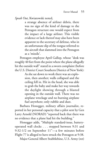*Speak Out*, Kwiatowski noted,

a strange absence of airliner debris, there was no sign of the kind of damage to the Pentagon structure one would expect from the impact of a large airliner. This visible evidence or lack thereof may also have been apparent to the secretary of defense, who in an unfortunate slip of the tongue referred to the aircraft that slammed into the Pentagon as a 'missile'.

Pentagon employee April Gallop, whose "desk was roughly 40 feet from the point where the plane allegedly hit the outside wall" stated in a sworn complaint (before the U.S. District Court Southern District of New York):

> As she sat down to work there was an explosion, then another; walls collapsed and the ceiling fell in. Hit in the head, she was able to grab the baby and make her way towards the daylight showing through a blasted opening in the outside wall. There was no airplane wreckage and no burning airplane fuel anywhere; only rubble and dust.

Barbara Honegger, military affairs journalist, reported in her personal capacity that a pilot sent by Gen Larry Arnold (NORAD) "reported back that there was no evidence that a plane had hit the building."

Honegger adds, "Multiple standard-issue, batteryoperated wall clocks . . . stopped between 9:31 and 9:32-1/2 on September 11"—a few minutes before Flight 77 is alleged to have struck the Pentagon at 9:38.

Major General Albert Stubblebine, U.S. Army (ret)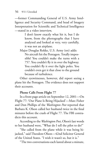—former Commanding General of U.S. Army Intelligence and Security Command, and head of Imagery Interpretation for Scientific and Technical Intelligence —stated in a video interview,

> I don't know exactly what hit it, but I do know, from the photographs that I have analyzed and looked at very, very carefully, it was not an airplane.

Major Douglas Rokke, U.S. Army (ret) adds: No aircraft hit the Pentagon. Totally impossible! You couldn't make the turns with a 757. You couldn't fly it in over the highway. You couldn't fly it over the light poles. You couldn't even get it that close to the ground because of turbulence.

Other eyewitnesses, however, did report seeing a plane hit the Pentagon. The evidence does not support their accounts.

### **Phone Calls From Flight 77**

In a front page article on September 12, 2001—On Flight 77: 'Our Plane Is Being Hijacked'—Marc Fisher and Don Phillips of the *Washington Post* reported that Barbara K. Olson called her husband twice in the final minutes before the crash of Flight 77. The FBI contradicts this account.

According to the *Washington Post*, Olson's last words to her husband were, "What do I tell the pilot to do?"

"She called from the plane while it was being hijacked," said Theodore Olson—42nd Solicitor General of the United States. "I wish it wasn't so, but it is."

"The two conversations each lasted about a minute,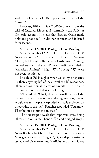said Tim O'Brien, a CNN reporter and friend of the Olsons<sup>"</sup>

However, FBI exhibit (P200054 above) from the trial of Zacarias Moussaoui contradicts the Solicitor General's account. It shows that Barbara Olson made only one phone call—it did not connect, and it lasted for 0 seconds.

#### **September 12, 2001: Pentagon News Briefing**

At the September 12, 2001, Dept. of Defense (DoD) News Briefing by Assistant Secretary of Defense, Victoria Clarke, Ed Plaugher (fire chief of Arlington County), and others—with the world's news media assembled— "American Airlines", "Flight 77", "Boeing 757" were not even mentioned.

Fire chief Ed Plaugher when asked by a reporter, "Is there anything left of the aircraft at all?" responded, "there are some small pieces of aircraft . . . there's no fuselage sections and that sort of thing."

When asked, "Chief, there are small pieces of the plane virtually all over, out over the highway, tiny pieces. Would you say the plane exploded, virtually exploded on impact due to the fuel", Plaugher reponded "You know, I'd rather not comment on that."

The transcript reveals that reporters were being "threatened or, in fact, handcuffed and dragged away".

#### **September 15, 2001: Pentagon News Briefing**

At the September 15, 2001, Dept. of Defense (DoD) News Briefing by Mr. Lee Evey, Pentagon Renovation Manager, Rear Adm. Craig R. Quigley, deputy assistant secretary of Defense for Public Affairs, and others, it was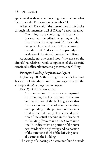apparent that there were lingering doubts about what had struck the Pentagon on September 11.

When Mr. Evey said, "the nose of the aircraft broke through this innermost wall of C Ring", a reporter asked,

> One thing that's confusing—if it came in the way you described, at an angle, why then are not the wings outside? I mean, the wings would have shorn off. The tail would have shorn off. And yet there's apparently no evidence of the aircraft outside the E Ring.

Apparently, no one asked how "the nose of the aircraft" (a relatively weak component of the aircraft) remained sufficiently intact to penetrate the C Ring.

### *Pentagon Building Performance Report*

In January 2003, the U.S. government's National Institute of Standards and Technology released the *Pentagon Building Performance Report*.

Page 35 of this report reads:

An examination of the area encompassed by extending the line of travel of the aircraft to the face of the building shows that there are no discrete marks on the building corresponding to the positions of the outer third of the right wing. The size and position of the actual opening in the facade of the building (from column line 8 to column line 18) indicate that no portion of the outer two-thirds of the right wing and no portion of the outer one-third of the left wing actually entered the building.

The wings of a Boeing 757 were not found outside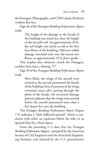the Pentagon. Photographs, and CNN's Jamie McIntyre confirm this fact.

Page 36 of the *Pentagon Building Performance Report*  reads:

> The height of the damage to the facade of the building was much less than the height of the aircraft's tail. At approximately 45 ft, the tail height was nearly as tall as the first four floors of the building. Obvious visible damage extended only over the lowest two floors, to approximately 25 ft above grade.

This implies that whatever struck the Pentagon, couldn't have been a Boeing 757.

Page 39 of the *Pentagon Building Performance Report*  reads:

> Most likely, the wings of the aircraft were severed as the aircraft penetrated the facade of the building. Even if portions of the wings remained intact after passing through the plane of the facade, the structural damage pattern indicates that the wings were severed before the aircraft penetrated more than a few dozen feet into the building.

The *Pentagon Building Performance Report* (Figure 7.9) indicates a "Slab deflected upward" which is consistent with either an explosion below the slab, or an upward blow by a hard object.

From the preceding it is clear that the *Pentagon Building Performance Report*—prepared by the American Society of Civil Engineers and the Structural Engineering Institute, and released by the U.S. government's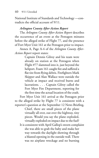National Institute of Standards and Technology —contradicts the official account of 9/11.

### *Arlington County After-Action Report*

The *Arlington County After-Action Report* describes the occurrence of an event at the Pentagon minutes before the alleged strike of Flight 77, and the presence of Fort Myer Unit 161 at the Pentagon prior to impact.

Annex A, Page A-4 of the *Arlington County After-Action Report* report states:

> Captain Dennis Gilroy and his team were already on station at the Pentagon when Flight #77 slammed into it, just beyond the heliport. Foam 161 caught fire and suffered a flat tire from flying debris. Firefighters Mark Skipper and Alan Wallace were outside the vehicle at impact and received burns and lacerations. . . . Captain Gilroy called the Fort Myer Fire Department, reporting for the first time the actual location of the crash.

Fort Myer Unit 161 arrival at the Pentagon prior to the alleged strike by Flight 77 is consistent with a reporter's question at the September 12 News Briefing, Chief, there are small pieces of the plane virtually all over, out over the highway, tiny pieces. Would you say the plane exploded, virtually exploded on impact due to the fuel? It is consistent with April Gallop's sworn complaint

she was able to grab the baby and make her way towards the daylight showing through a blasted opening in the outside wall. There was no airplane wreckage and no burning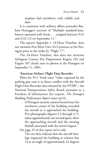airplane fuel anywhere; only rubble and dust.

It is consistent with military affairs journalist Barbara Honegger's account of "Multiple standard-issue, battery-operated wall clocks . . . stopped between 9:31 and 9:32-1/2 on September 11."

The report's Appendix 1, 24-Hour Timeline, does not mention Fort Myer Unit 161's presence at the Pentagon prior to the strike by "Flight 77".

The 24-Hour Timeline, also does not mention Arlington County Fire Department Engine 102 and Engine 107 clearly seen in photos at the Pentagon on September 11, 2001.

### **'American Airlines' Flight Data Recorder**

Pilots for 9/11 Truth state: "video captured by the parking gate cam is in direct conflict with the Aircraft Flight Data Recorder data released by the NTSB"—the National Transportation Safety Board, pursuant to a Freedom of Information Act request. *The Pentagon Building Performance Report* states (p14):

> A Pentagon security camera located near the northwest corner of the building recorded the aircraft as it approached the building. Five photographs (figures 3.3 through 3.7), taken approximately one second apart, show the approaching aircraft and the ensuing fireball associated with the initial impact."

On page 35 of this report we're told,

The site data indicate that the aircraft fuselage impacted the building at column line 14 at an angle of approximately 42 degrees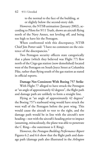to the normal to the face of the building, at or slightly below the second-story slab.

However, the NTSB animation (January 2002), according to Pilots for 9/11 Truth, shows an aircraft flying north of the Navy Annex, not leveling off, and being too high to have hit the Pentagon.

When confronted with this discrepancy, NTSB Chief Jim Potter said: "I have no comment on the existence of the discrepancies."

Two Pentagon security officers state categorically that a plane (which they believed was Flight 77) flew north of the Citgo gas station (now demolished) located west of the Pentagon on South Joyce Street at Columbia Pike, rather than flying south of the gas station as stated in official reports.

#### **Damage Not Consistent With Boeing 757 Strike**

With Flight 77 alleged to have struck the Pentagon at "an angle of approximately 42 degrees", the flight path and damage path are unlikely to form a straight line.

Flying at "an angle of approximately 42 degrees" the Boeing 757's starboard wing would have struck the west wall of the Pentagon before the port wing. This would cause the aircraft to veer to the right, and the damage path would be in line with the aircraft's new heading—not with the aircraft's heading prior to impact (assuming, miraculously, the plane was able to penetrate the C Ring—the outermost is E Ring).

However, the *Pentagon Building Performance Report* Figures 6.2 and 6.6 show that the flight path and damage path (damage path also illustrated in the *Arlington*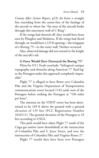*County After Action Report*, p23) do form a straight line extending from the center-line of the fuselage of the aircraft to where the "the nose of the aircraft broke through this innermost wall of C Ring".

If the wings had sheared off, they would have been seen by Plaugher and Medairos. If the wings had sliced through, we would have a 125 ft opening—the wingspan of a Boeing 75—in the outer wall. Neither occurred.

Also, observed damage did not extend to the height of the aircraft's tail.

# **G-Force Would Have Destroyed the Boeing 757**

Pilots for 9/11 Truth conclude: "Arlington's unique topography and obstacles along American 77 'final leg' to the Pentagon make this approach completely impossible".

Flight 77 is alleged to have flown over Columbia Pike and the Virginia Department of Transportation communications tower located 1143 yards west of the Pentagon before striking the Pentagon at "530 miles per hour".

The antenna on the VDOT tower has been determined to be 169 ft above the ground with a ground elevation of 135 feet (FCC Registration Number 1016111). The ground elevation of the Pentagon is 33 feet according to USGS.

This path would have taken Flight 77 south of the Citgo gas station (now demolished) at the intersection of Columbia Pike and S. Joyce Street, and over the intersection of Columbia Pike and Virginia Route 27.

Flight 77 would then have been over Pentagon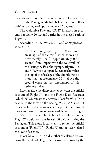grounds with about 500 feet remaining to level out and to strike the Pentagon "slightly below the second floor slab" at "an angle of approximately 42 degrees".

The Columbia Pike and VA-27 intersection presents a roughly 20 feet tall barrier in the alleged path of Flight 77.

According to the *Pentagon Building Performance Report* (p14),

> The first photograph (figure 3.3) captured an image of the aircraft when it was approximately 320 ft (approximately 0.42 second) from impact with the west wall of the Pentagon. Two photographs (figures 3.3 and 3.7), when compared, seem to show that the top of the fuselage of the aircraft was no more than approximately 20 ft above the ground when the first photograph of this series was taken.

Leaving aside the discrepancies between the official account of Flight 77, and the Flight Data Recorder (which NTSB refuses to answer), Pilots for 9/11 Truth calculated the force on the Boeing 757 at 34 Gs, i.e. 34 times the force due to gravity, at the point that it would have to transition from its downward flight to level flight.

With a virtual weight of about 8.5 million pounds, Flight 77 could not have leveled off before striking the Pentagon. This alone is sufficient to refute the official account of "Flight 77"—Flight 77 cannot have violated the laws of science.

Pilots for 9/11 Truth did another calculation by lowering the height of "Flight 77" below that shown by the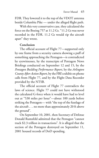FDR. They lowered it to the top of the VDOT antenna beside Columbia Pike — under the alleged flight path.

With this very conservative case, they calculated the force on the Boeing 757 at 11.2 Gs. "11.2 Gs was never recorded in the FDR. 11.2 Gs would rip the aircraft apart" they wrote.

### **Conclusion**

The official account of Flight 77—supported only by one frame from a security camera showing a puff of something approaching the Pentagon—is contradicted by eyewitnesses, by the transcripts of Pentagon News Briefings conducted on September 12 and 15, by the *Pentagon Building Performance Report*, by the *Arlington County After-Action Report*, by the FBI's exhibit on phone calls from Flight 77, and by the Flight Data Recorder provided by the NTSB.

The official account of Flight 77 contradicts the laws of science. Flight 77 could not have withstood the calculated G-force when it would have had to level out at "530 miles per hour"—about 100 yards before striking the Pentagon— with "the top of the fuselage of the aircraft . . . no more than approximately 20 ft above the ground".

On September 10, 2001, then Secretary of Defense Donald Rumsfeld admitted that the Pentagon "cannot track \$2.3 trillion in transactions". It is alleged that the section of the Pentagon destroyed on September 11, 2001 housed records of DoD spending.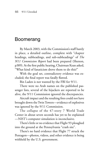# [Boomerang](http://www.twf.org/Library/WaronIslam.html)

By March 2003, with the Commission's staff barely in place, a detailed outline, complete with "chapter headings, subheadings, and sub-subheadings" of *The 9/11 Commission Report* had been prepared (Shenon, p389). At the first public hearing, Chairman Kean asked, "What kind of fanaticism drove them to do this?"

With the goal set, contradictory evidence was excluded; the final report was fatally flawed.

Bin Laden is not wanted by the FBI for 9/11.

There were no Arab names on the published passenger lists, several of the hijackers are reported to be alive, the 9/11 Commission ignored the discrepancies.

Aircraft impact and the resulting fires could not have brought down the Twin Towers—evidence of explosives was ignored by the 9/11 Commission.

The collapse of the 47-story 7 World Trade Center in about seven seconds has yet to be explained —NIST's computer simulation is inconclusive.

There's little or no evidence that Flight 93 ploughed into the ground at the Pennsylvania "crash site".

There's no hard evidence that Flight 77 struck the Pentagon—photos, videos, and other evidence is being withheld by the U.S. government.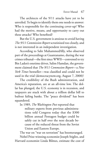The architects of the 9/11 attacks have yet to be unveiled. To begin to identify them one needs to answer: Who is responsible for the continuing cover-up? Who had the motive, means, and opportunity to carry out these attacks? Who benefited?

But the U.S. government is anxious to avoid having *The 9/11 Commission Report* scrutinized too closely, and is not interested in an independent investigation.

According to Sahr MuhammedAlly, who observed part of the proceedings at Guantanamo, during the war crimes tribunal—the first since WWII—convened to try Bin Laden's onetime driver, Salim Hamdan, the government claimed that *The 9/11 Commssion Report*—a *New York Times* bestseller—was classified and could not be used in the trial (democracynow.org, August 7, 2008)!

The credibility of the Bush administration, and America's reputation, are at an all-time low. The dollar has plunged, the U.S. economy is in recession, and taxpayers are stuck with about a trillion dollar bill to bailout failing banks. The "peace dividend" has been squandered.

In 1989, *The Washington Post* reported that military experts from previous administrations told Congress today that the \$300 billion annual Pentagon budget could be safely cut in half over the next decade because of the reduced threat from the Soviet Union and Eastern Europe.

The war on "war on terrorism" has boomeranged. Nobel Prize-winning economist Joseph Stiglitz, and Harvard economist Linda Bilmes, estimate the cost of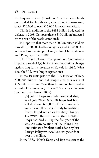the Iraq war at \$3 to \$5 trillion. At a time when funds are needed for health care, education, infrastructure, that's \$10,000 to over \$16,000 for every American.

This is in addition to the \$481 billion budgeted for defense in 2008. Compare this to \$500 billion budgeted by the rest of the world combined!

It is reported that more than 4000 American soldiers have died, 320,000 had brain injuries, and 300,000 U.S. veterans have mental problem (Pauline Jelinek, Associated Press, April 17, 2008).

The United Nations Compensation Commission imposed a total of \$53 billion in war reparations charges against Iraq for its invasion of Kuwait in 1990. What does the U.S. owe Iraq in reparations?

In the 10 years prior to the U.S. invasion of Iraq, 500,000 children and old people died as a result of U.S.-UN sanctions. More than 1.1 million have died as a result of the invasion (Fairness & Accuracy in Reporting, January/February 2008):

> [A] Johns Hopkins study estimated that, as of July 2006, 655,000 Iraqis had been killed, about 600,000 of them violently and at least 30 percent directly by coalition forces. It updated an earlier study (Lancet, 10/29/04) that estimated that 100,000 Iraqis had died during the first year of the war. An extrapolation of the Johns Hopkins estimate of violent deaths done by Just Foreign Policy (9/18/07) currently stands at over 1.1 million.

In the U.S., "North Korea and Iran are seen as the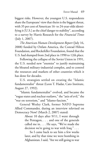biggest risks. However, the youngest U.S. respondents share the Europeans' view that theirs is the biggest threat, with 35 per cent of American 16- to 24-year-olds identifying it [U.S.] as the chief danger to stability", according to a survey by Harris Research for the *Financial Times*  (July 1, 2007).

*The American Human Development Report* (July 16, 2008) funded by Oxfam America, the Conrad Hilton Foundation, and Rockefeller Foundation, found that the U.S. had slumped from 2nd place in 1990 to 12th place.

Following the collapse of the Soviet Union in 1991, the U.S. needed new "enemies" to justify maintaining the bloated military-industrial complex, and to control the resources and markets of other countries which it has done for decades.

U.S. strategists settled on creating the "Islamic fundamentalist" threat (Leon T. Hadar, Cato Institute, August 27, 1992).

"Islamic fundamentalist" evolved, and became the "rogue states and nuclear outlaws," the "axis of evil," the "war on terrorism," and "Islamo-fascism."

General Wesley Clark, former NATO Supreme Allied Commander, during an interview televised on Democracy Now! (March 2, 2007) stated:

> About 10 days after 9/11, I went through the Pentagon, . . . and one of the generals called me in. . . . He says, "We've made the decision we're going to war with Iraq." . . .

> So I came back to see him a few weeks later, and by that time we were bombing in Afghanistan. I said, "Are we still going to war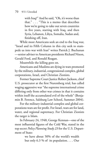with Iraq?" And he said, "Oh, it's worse than that." . . . "This is a memo that describes how we're going to take out seven countries in five years, starting with Iraq, and then Syria, Lebanon, Libya, Somalia, Sudan and, finishing off, Iran.

While most Americans seek an end to the Iraq war, "Israel and its Fifth Column in this city seek to stampede us into war with Iran" writes Patrick J. Buchanan —senior adviser to American presidents Richard Nixon, Gerald Ford, and Ronald Reagan.

Meanwhile the killing goes on.

Americans and Muslims are dying in wars promoted by the military, industrial, congressional complex, global corporations, Israel, and Christian Zionists.

Former Supreme Court Justice Robert Jackson, chief U.S. prosecutor at the first Nuremberg trial, has called waging aggressive war "the supreme international crime differing only from other war crimes in that it contains within itself the accumulated evil of the whole" (Benjamin B. Ferencz, Salzburg Law School, Summer 2004).

For the military-industrial complex and global corporations wars are for profit. For Israel, wars are for land, water, and regional supremacy. For Christian Zionists the target is Islam.

In February 24, 1948, George Kennan—one of the most influential figures of the Cold War, stated in the top secret *Policy Planning Study 23* for the U.S. Department of State:

> we have about 50% of the world's wealth but only 6.3 % of its population. . . . Our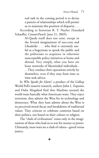real task in the coming period is to devise a pattern of relationships which will permit us to maintain this position of disparity . . . According to historian R. T. Naylor (Standard Schaeffer, *CounterPunch*, June 21, 2003):

> Al-Qaeda itself does not exist, except in the fevered imaginations of neo-cons and Likudniks . . . who find it extremely useful as a bogeyman to spook the public and the politicians to acquiesce in otherwise unacceptable policy initiatives at home and abroad. Very simply, what you have are loose networks of likeminded individuals . . . They conduct their operations strictly by themselves, even if they may from time to time seek advice.

In *Who Speaks for Islam?*, a product of the Gallup World Poll's massive research, authors John L. Esposito and Dalia Mogahed find that Muslims around the world want basically what Americans want. They reject terrorism, they admire the West for its technology and democracy. What they least admire about the West is its perceived moral decay and breakdown of traditional values. They criticize or celebrate countries based on their politics, not based on their culture or religion.

The "clash of civilizations" exists only in the imaginations of those who lead us to war for money or power. Ultimately, most wars are a clash of values—greed versus justice.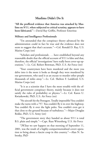### **[Muslims Didn't Do It](http://www.twf.org/News/Y2011/0911-Muslims.html)**

**"All the proffered evidence that America was attacked by Muslims on 9/11, when subjected to critical scrutiny, appears to have been fabricated."**—David Ray Griffin, Professor Emeritus

### **Military and Intelligence Professionals**

"I'm astounded that the conspiracy theory advanced by the administration could in fact be true and the evidence does not seem to suggest that that's accurate."—Col. Ronald D. Ray, U.S. Marine Corps (ret)

"Scholars and professionals . . . have established beyond any reasonable doubt that the official account of 9/11 is false and that, therefore, the official 'investigations' have really been cover-up operations."—Lt. Col. Robert Bowman, PhD, U.S. Air Force (ret)

"Your countrymen have been murdered and the more you delve into it the more it looks as though they were murdered by our government, who used it as an excuse to murder other people thousands of miles away."—Lt. Col. Shelton F. Lankford, U.S. Marine Corps (ret)

"It is as a scientist that I have the most trouble with the official government conspiracy theory, mainly because it does not satisfy the rules of probability or physics."—Lt. Col. Karen U. Kwiatkowski, PhD, U.S. Air Force (ret)

"No aircraft hit the Pentagon. Totally impossible! You couldn't make the turns with a 757. You couldn't fly it in over the highway. You couldn't fly it over the light poles. You couldn't even get it that close to the ground because of turbulence."—Major Douglas Rokke, PhD, U.S. Army (ret)

"The government story they handed us about 9/11 is total B.S. plain and simple."—Capt. Russ Wittenberg, U.S. Air Force

"[W]hat we saw happen on that morning of September 11, 2001, was the result of a highly-compartmentalized covert operation to bring about a fascist coup in this country."—Alan N. Sabrosky, PhD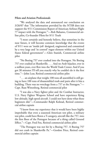### **Pilots and Aviation Professionals**

"We analyzed the data and announced our conclusion on 3/26/07 that 'The information provided by the NTSB does not support the 9/11 Commission Report of American Airlines Flight 77 impact with the Pentagon.'"—Rob Balsamo, Commercial airline pilot, Co-founder Pilots for 9/11 Truth

"I most certainly and honestly believe, that sometime in the near future, it will become common knowledge that the events of 9/11 were an 'inside job' designed, engineered and committed by a very large and 'in control' rogue element within our United States federal government".—Glen Stanish, Commercial airline pilot

"No Boeing 757 ever crashed into the Pentagon. No Boeing 757 ever crashed at Shanksville. . . . And no Arab hijacker, ever in a million years, ever flew into the World Trade Center. And if you got 30 minutes I'll tell you exactly why he couldn't do it the first time."—John Lear, Retired commercial airline pilot

". . . an airplane that weighs 100 tons all assembled is still going to have 100 tons of disassembled trash and parts after it hits a building. There was no wreckage from a 757 at the Pentagon."— Capt. Russ Wittenberg, Retired commercial pilot

"I was also a Navy fighter pilot and Air Combat Instructor, U.S. Navy Fighter Weapons School and have experience flying low altitude, high speed aircraft. I could not have done what these beginners did."—Commander Ralph Kolstad, Retired commercial airline captain

"I know from my experience that it would have been highly improbable that even a seasoned American test pilot, a military test pilot, could have flown a T-category, aircraft like the 757, into the first floor of the Pentagon because of a thing called Ground Effect."—Capt. Fred Fox, Retired commercial airline pilot

"The Pentagon was not hit by a Boeing 757. A Boeing 757 did not crash in Shanksville Pa."—Gordon Price, Retired commercial airline captain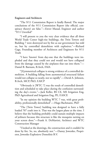#### **Engineers and Architects**

"The 9/11 Commission Report is fatally flawed. The major conclusions of the 9/11 Commission Report (the official, conspiracy theory) are false."—Enver Masud, Engineer and author "9/11 Unveiled"

"I will present to you the very clear evidence that all three World Trade Center high-rise buildings, the Twin Towers and Building 7 were destroyed not by fire as our government has told us, but by controlled demolition with explosives."—Richard Gage, Founding member of Architects and Engineers for 9/11 Truth

"I have 'known' from day-one that the buildings were imploded and that they could not and would not have collapsed from the damage caused by the airplanes that ran into them."— Daniel B. Barnum, B.Arch, FAIA

"[S]ymmetrical collapse is strong evidence of a controlled demolition. A building falling from asymmetrical structural failure would not collapse so neatly, nor so rapidly".—David A. Johnson, B.Arch, MCP, PhD, F.AICP

"Obviously it [WTC 7] was the result of controlled demolition and scheduled to take place during the confusion surrounding the day's events."—Jack Keller, BS CE, MS Irrigation Eng, PhD Agricultural and Irrigation Eng, PE, F.ASCE

"In my opinion the building WTC 7 was, with great probability, professionally demolished".—Hugo Bachmann, PhD

"The [Twin Tower] building was designed to have a fully loaded 707 crash into it. That was the largest plane at the time. I believe that the building probably could sustain multiple impacts of jetliners because this structure is like the mosquito netting on your screen door."—Frank A. DeMartini, Architect and WTC Construction Manager

"I looked at the drawings, the construction and it couldn't be done by fire. So, no, absolutely not."—Danny Jowenko, Proprietor, Jowenko Explosieve Demolitie B.V.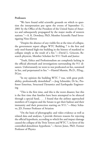### **Professors**

"We have found solid scientific grounds on which to question the interpretation put upon the events of September 11, 2001 by the Office of the President of the United States of America and subsequently propagated by the major media of western nations."—A. K. Dewdney, PhD, Member Scientific Panel Investigating Nine-Eleven

"Despite the absence of any visible fire at the time of collapse, the government report alleges WTC Building 7 is the first and only steel-framed high-rise building in the history of mankind to collapse simply as the result of a fire."—David L. Griscom, Research physicist, Member Scholars for 9/11 Truth and Justice

"Truth, Ethics and Professionalism are completely lacking in the official aftermath and investigations surrounding the 911 disasters. Unfortunately we went to war predicated on lies, sustained in lies, and perpetuated in lies."—Hamid Mumin, Ph.D., P.Eng., P.Geo.

"In my opinion the building WTC 7 was, with great probability, professionally demolished".—Jorg Schneider, Dr hc, Professor Emeritus, Structural Dynamics and Earthquake Engineering

"This is the first time, and this is the worst disaster, but this is the first time that families have been attempted to be silenced through a special fund, . . . I found that the airlines approached members of Congress and the Senate to get their bailout and their immunity and their protection starting on 9/11."—Mary Schiavo, JD, Former Professor of Aviation

"On the basis of photographic and video evidence as well as related data and analyses, I provide thirteen reasons for rejecting the official hypothesis, according to which fire and impact damage caused the collapse of the Twin Towers and WTC 7, in favor of the controlled-demolition hypothesis."—Steven Jones, PhD, Former Professor of Physics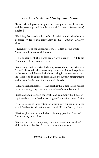# **Praise for** *The War on Islam* **by Enver Masud**

"Enver Masud gives example after example of disinformation and lies, cover-ups and double standards."—*Impact International*, England

"He brings balanced analysis of world affairs amidst the chaos of doctored evidence and complacent media."—*Muslim Observer*, USA

 "Excellent tool for explaining the realities of the world."— Muslimedia International, Canada

"The contents of the book are an eye opener."—All India Conference of Intellectuals, India

"One thing that is particularly impressive about the articles is Masud's obvious depth of knowledge about the U.S. and its policies in the world, and the way he is able to bring in impressive and telling statistics and background information to support his arguments and his case."—*Crescent International*, Canada

"Of historical significance, . . . A book like this is desperately needed in the warmongering climate of today."—*Muslims*, New York

"Excellent book. Dispels the myths and commonly held misconceptions about Islam."—Human Rights Foundation, South Africa

"A masterpiece of information of present day happenings in the world."—Tasmia Educational and Social Welfare Society, India

"His thoughts may prove valuable to thinking people in America"— Mumia Abu Jamal, USA

"One of the few contemporary voices of reason and wisdom"— William Mark Hardiker (freelance journalist), Australia

250,000+ sold or downloaded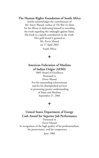**The Human Rights Foundation of South Africa**

hereby acknowledges the contributions of Mr. Enver Masud, author of *The War on Islam* for his efforts in dedicating himself to unveiling the truth regarding the onslaught against Islam. His book is a superb contribution to the truth.

> This gold award is granted to Mr. Enver Masud on 17 April 2002 South Africa

### ❖

# **American Federation of Muslims of Indian Origin (AFMI)**

2003 Award of Excellence Presented to Enver Masud For his outstanding achievements and for his distinguished services in promoting greater understanding of Islam and Muslims September 27, 2003

### ❖

## **United States Department of Energy Cash Award for Superior Job Performance**

Presented to Enver Masud In recognition of the high quality of his professionalism, his perseverance, and his competence . . .

June 1980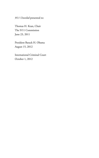*9/11 Unveiled* presented to:

[Thomas H. Kean, Chair](http://www.twf.org/Library/911Unveiled.html) [The 9/11 Commission](http://www.twf.org/Library/911Unveiled.html) June 23, 2011

[President Barack H. Obama](http://www.twf.org/News/Y2012/0815-Obama.pdf) August 15, 2012

[International Criminal Court](http://www.twf.org/News/Y2012/1127-EM_T03_OTP-CR-315_12.pdf) October 1, 2012